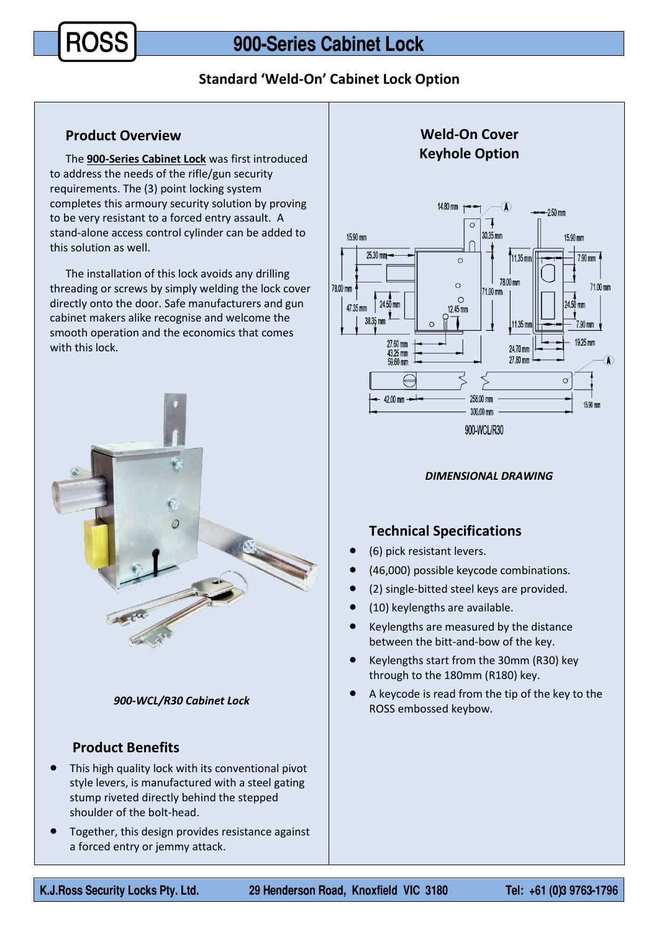**Standard 'Weld-On' Cabinet Lock Option**

### **Product Overview**

The **900-Series Cabinet Lock** was first introduced to address the needs of the rifle/gun security requirements. The (3) point locking system completes this armoury security solution by proving to be very resistant to a forced entry assault. A stand-alone access control cylinder can be added to this solution as well.

The installation of this lock avoids any drilling threading or screws by simply welding the lock cover directly onto the door. Safe manufacturers and gun cabinet makers alike recognise and welcome the smooth operation and the economics that comes with this lock.



#### *900-WCL/R30 Cabinet Lock*

# **Product Benefits**

- This high quality lock with its conventional pivot style levers, is manufactured with a steel gating stump riveted directly behind the stepped shoulder of the bolt-head.
- Together, this design provides resistance against a forced entry or jemmy attack.



#### *DIMENSIONAL DRAWING*

# **Technical Specifications**

- (6) pick resistant levers.
- (46,000) possible keycode combinations.
- (2) single-bitted steel keys are provided.
- (10) keylengths are available.
- Keylengths are measured by the distance between the bitt-and-bow of the key.
- Keylengths start from the 30mm (R30) key through to the 180mm (R180) key.
- A keycode is read from the tip of the key to the ROSS embossed keybow.

Tel: +61 (0)3 9763-1796